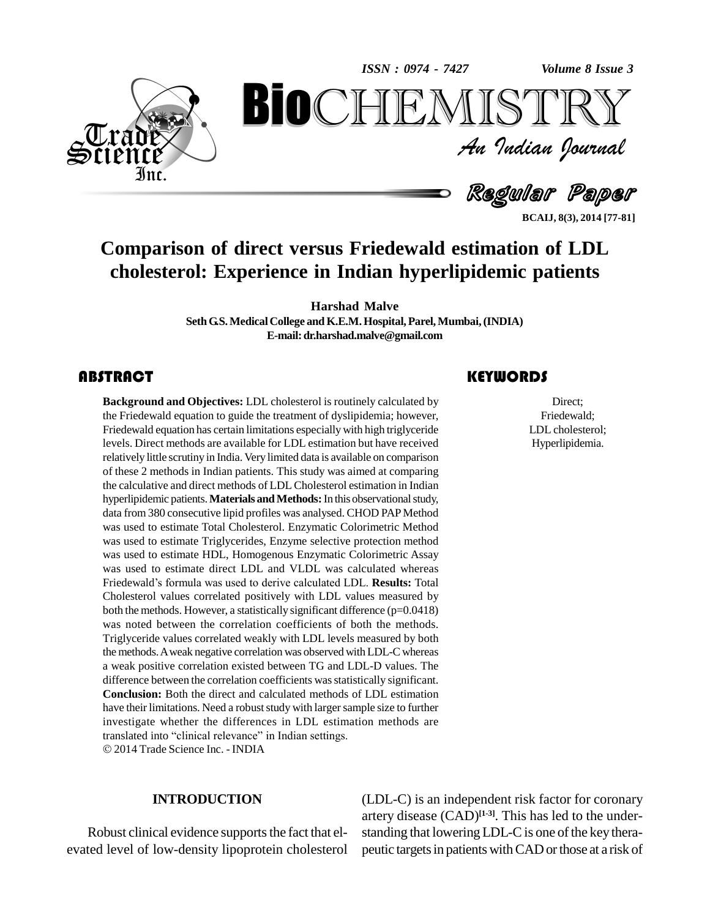*Volume 8 Issue 3*



*Volume 8 Issue 3*<br> $\begin{array}{c} \bigcirc \mathbb{T} \mathbb{R} \mathbb{Y} \ \mathcal{I} \end{array}$ **BioCHEMISTRY**<br>Au Indian Journal<br>Regular Paper<br>Regular Paper<br>Regular Paper<br>Paper<br>Direct versus Friedewald estimation of LDL<br>Derience in Indian hyperlipidemic patients An Indian Journal<br>Regular Paper

**BCAIJ, 8(3), 2014 [77-81]**

# **Comparison of direct versus Friedewald estimation of LDL cholesterol: Experience in Indian hyperlipidemic patients**

**Harshad Malve**

**SethG.S.MedicalCollege andK.E.M.Hospital,Parel,Mumbai,(INDIA) E-mail:[dr.harshad.malve@gmail.com](mailto:dr.harshad.malve@gmail.com)**

## **ABSTRACT**

**Background and Objectives:** LDL cholesterol is routinely calculated by the Friedewald equation to guide the treatment of dyslipidemia; however, Friedewald equation has certain limitations especially with high triglyceride levels. Direct methods are available for LDL estimation but have received relatively little scrutiny in India. Very limited data is available on comparison of these 2 methods in Indian patients. This study was aimed at comparing the calculative and direct methods of LDL Cholesterol estimation in Indian hyperlipidemic patients. Materials and Methods: In this observational study, data from 380 consecutive lipid profiles was analysed. CHOD PAP Method was used to estimate Total Cholesterol. Enzymatic Colorimetric Method was used to estimate Triglycerides, Enzyme selective protection method was used to estimate HDL, Homogenous Enzymatic Colorimetric Assay Friedewaldís formula was used to derive calculated LDL. **Results:** Total was used to estimate direct LDL and VLDL was calculated whereas Cholesterol values correlated positively with LDL values measured by both the methods. However, a statistically significant difference (p=0.0418) was noted between the correlation coefficients of both the methods. Triglyceride values correlated weakly with LDL levels measured by both the methods.Aweak negative correlation was observed withLDL-C whereas a weak positive correlation existed between TG andLDL-D values. The difference between the correlation coefficients wasstatistically significant. **Conclusion:** Both the direct and calculated methods of LDL estimation have their limitations. Need a robust study with larger sample size to further investigate whether the differences in LDL estimation methods are translated into "clinical relevance" in Indian settings. investigate whether the differences in LDL estimation methods are 2014 Trade Science Inc. - INDIA Background and Objectives: LDL cholesterol is routinely calculated by Direct;<br>the Friedewald equation to guide the treatment of dyslipidemia; however, Friedewald;<br>Friedewald equation has certain limitations especially with

### **INTRODUCTION**

Robust clinical evidence supports the fact that elevated level of low-density lipoprotein cholesterol

### **KEYWORDS**

Direct; Friedewald; LDL cholesterol; Hyperlipidemia.

(LDL-C) is an independent risk factor for coronary artery disease (CAD) **[1-3]**. This has led to the under standing that lowering LDL-C is one of the key therapeutic targets in patients with CAD or those at a risk of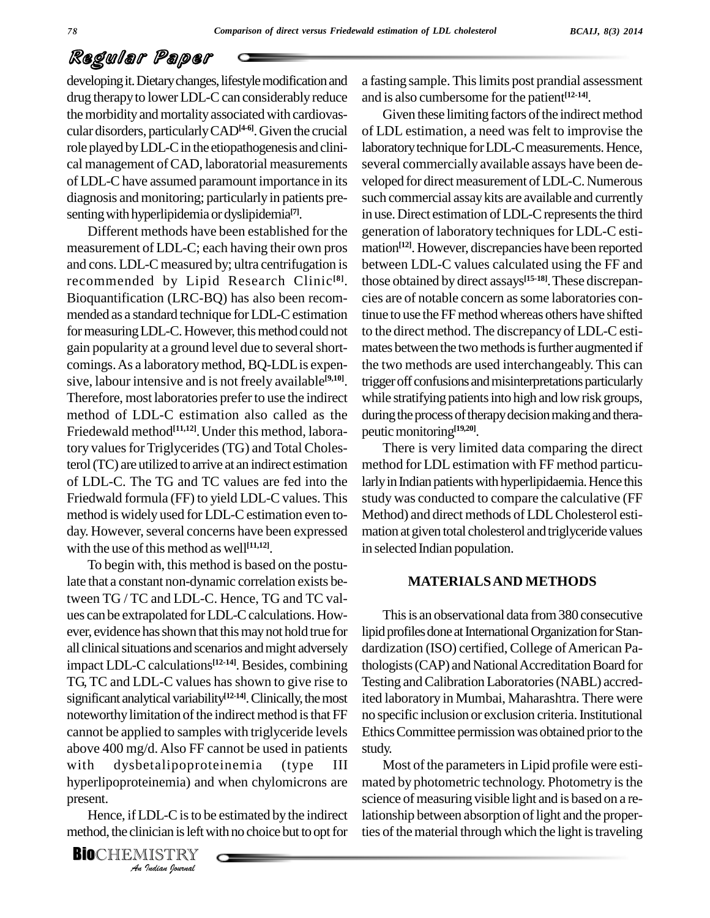## Regular Paper

developing it. Dietary changes, lifestyle modification and drug therapy to lower LDL-C can considerably reduce the morbidity and mortality associated with cardiovascular disorders, particularlyCAD**[4-6]**.Given the crucial role played by LDL-C in the etiopathogenesis and clinical management of CAD, laboratorial measurements of LDL-Chave assumed paramount importance in its diagnosis and monitoring; particularly in patients pre senting with hyperlipidemia or dyslipidemia<sup>[7]</sup>.

Different methods have been established for the measurement of LDL-C; each having their own pros and cons.LDL-C measured by; ultra centrifugation is recommended by Lipid Research Clinic **[8]**. Bioquantification (LRC-BQ) has also been recom mended as a standard technique forLDL-Cestimation for measuring LDL-C. However, this method could not gain popularity at a ground level due to several shortcomings.As a laboratorymethod, BQ-LDLis expen sive, labour intensive and is not freely available **[9,10]**. Therefore, most laboratories prefer to use the indirect method of LDL-C estimation also called as the Friedewald method **[11,12]**.Under this method, laboratory values for Triglycerides (TG) and Total Cholesterol(TC) are utilized to arrive at an indirect estimation of LDL-C. The TG and TC values are fed into the Friedwald formula (FF) to yield LDL-C values. This method is widely used for LDL-C estimation even to-<br>day. However, several concerns have been expressed with the use of this method as well<sup>[11,12]</sup>.

*An*with dysbetalipoproteinemia (type III *Indian*<br>*Indian Indian*<br>*Indian Is left* with *IISTRY*<br>*Indian Iournal* To begin with, this method is based on the postulate that a constant non-dynamic correlation exists between TG / TC and LDL-C. Hence, TG and TC values can be extrapolated forLDL-Ccalculations. How ever, evidence has shown that this may not hold true for all clinical situations and scenarios and might adversely impact LDL-C calculations **[12-14]**. Besides, combining TG, TC and LDL-C values has shown to give rise to significant analytical variability<sup>[12-14]</sup>. Clinically, the most ite noteworthy limitation of the indirect method is that FF cannot be applied to samples with triglyceride levels above 400 mg/d.Also FF cannot be used in patients hyperlipoproteinemia) and when chylomicrons are present.

Hence, if LDL-C is to be estimated by the indirect method, the clinician is left with no choice but to opt for

**BIO**CHEMISTRY<br>An Indian Journal

a fasting sample. This limits post prandial assessment and is also cumbersome for the patient<sup>[12-14]</sup>.

Given these limiting factors of the indirect method of LDL estimation, a need was felt to improvise the laboratory technique for LDL-C measurements. Hence, several commercially available assays have been de veloped for direct measurement of LDL-C. Numerous such commercial assaykits are available and currently in use. Direct estimation of LDL-C represents the third generation of laboratory techniques for LDL-C estimation **[12]**. However, discrepancies have been reported between LDL-C values calculated using the FF and those obtained by direct assays **[15-18]**.These discrepan cies are of notable concern assome laboratories continue to use the FF method whereas others have shifted to the direct method. The discrepancy of LDL-Cesti mates between the two methods is further augmented if the two methods are used interchangeably. This can trigger off confusions and misinterpretations particularly while stratifying patients into high and low risk groups, during the process of therapy decision making and therapeutic monitoring<sup>[19,20]</sup>.

There is very limited data comparing the direct method for LDL estimation with FF method particularly in Indian patients with hyperlipidaemia. Hence this study was conducted to compare the calculative (FF Method) and direct methods of LDLCholesterol esti mation at given total cholesterol and triglyceride values in selected Indian population.

### **MATERIALSAND METHODS**

This is an observational data from 380 consecutive lipid profiles done at International Organization for Standardization (ISO) certified, College of American Pathologists (CAP) and National Accreditation Board for Testing and Calibration Laboratories (NABL) accredited laboratory in Mumbai, Maharashtra. There were no specific inclusion or exclusion criteria.Institutional Ethics Committee permission was obtained prior to the study.

Most of the parameters in Lipid profile were estimated by photometric technology. Photometry is the science of measuring visible light and is based on a relationship between absorption of light and the properties of the material through which the light is traveling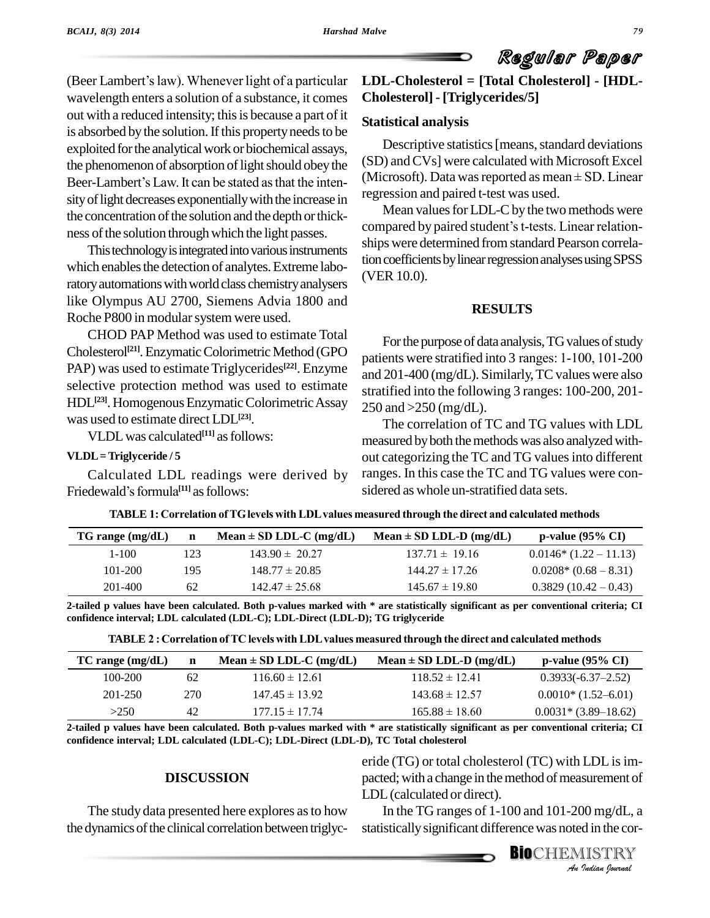(Beer Lambert's law). Whenever light of a particular wavelength enters a solution of a substance, it comes out with a reduced intensity; this is because a part of it is absorbed by the solution. If this property needs to be exploited for the analytical work or biochemical assays, the phenomenon of absorption of light should obey the  $(SD)$ exploited for the analytical work or biochemical assays,<br>the phenomenon of absorption of light should obey the (SE<br>Beer-Lambert's Law. It can be stated as that the intensity of light decreases exponentially with the increase in the concentration of the solution and the depth or thickness of the solution through which the light passes.

This technology is integrated into various instruments which enables the detection of analytes. Extreme laboratory automations with world class chemistry analysers like Olympus AU 2700, Siemens Advia 1800 and Roche P800 in modular system were used.

CHOD PAP Method was used to estimate Total Cholesterol<sup>[21]</sup>. Enzymatic Colorimetric Method (GPO patients we PAP) was used to estimate Triglycerides<sup>[22]</sup>. Enzyme  $\frac{1}{2}$ selective protection method was used to estimate HDL<sup>[23]</sup>. Homogenous Enzymatic Colorimetric Assay 250 and was used to estimate direct LDL **[23]**.

VLDLwas calculated **[11]** asfollows:

### **VLDL=Triglyceride / 5**

Calculated LDL readings were derived by **VLDL**=Triglyceride/5<br>Calculated LDL readings were<br>Friedewald's formula<sup>[11]</sup> as follows:

## **LDL-Cholesterol = [Total Cholesterol] - [HDL- Cholesterol] - [Triglycerides/5]**

Regular Paper

### **Statistical analysis**

Descriptive statistics [means, standard deviations] (SD) andCVs] were calculated with Microsoft Excel Descriptive statistics [means, standard deviations<br>(SD) and CVs] were calculated with Microsoft Excel<br>(Microsoft). Data was reported as mean ± SD. Linear regression and paired t-test was used.

Mean values for LDL-C by the two methods were compared by paired student's t-tests. Linear relationships were determined from standard Pearson correlation coefficients by linear regression analyses using SPSS (VER 10.0).

### **RESULTS**

For the purpose of data analysis, TG values of study patients were stratified into <sup>3</sup> ranges: 1-100, 101-200 and 201-400 (mg/dL). Similarly, TC values were also stratified into the following 3 ranges: 100-200, 201- 250 and >250 (mg/dL).

The correlation of TC and TG values with LDL measured by both the methods was also analyzed without categorizing the TC and TG valuesinto different ranges. In this case the TC and TG values were con-

| ald's formula <sup>[11]</sup> as follows: | sidered as whole un-stratified data sets.                                                            |
|-------------------------------------------|------------------------------------------------------------------------------------------------------|
|                                           | TABLE 1: Correlation of TG levels with LDL values measured through the direct and calculated methods |

| <b>TABLE 1: Correlation of TG levels with LDL values measured through the direct and calculated methods</b> |     |                             |                             |                       |
|-------------------------------------------------------------------------------------------------------------|-----|-----------------------------|-----------------------------|-----------------------|
| $TG$ range (mg/dL)                                                                                          | n   | Mean $\pm$ SD LDL-C (mg/dL) | Mean $\pm$ SD LDL-D (mg/dL) | $p$ -value (95% CI)   |
| $1 - 100$                                                                                                   | 123 | $143.90 \pm 20.27$          | $137.71 \pm 19.16$          | $0.0146*(1.22-11.13)$ |
| $101 - 200$                                                                                                 | 195 | $148.77 \pm 20.85$          | $144.27 \pm 17.26$          | $0.0208*(0.68-8.31)$  |
| $201 - 400$                                                                                                 | 62  | $142.47 \pm 25.68$          | $145.67 \pm 19.80$          | $0.3829(10.42-0.43)$  |

2-tailed p values have been calculated. Both p-values marked with \* are statistically significant as per conventional criteria; CI 2-tailed p values have been calculated. Both p-values marked with \* are statistically significant as per conventional criteria; Gonfidence interval; LDL calculated (LDL-C); LDL-Direct (LDL-D); TG triglyceride<br>TABLE 2 : Cor

| TABLE 2: Correlation of TC levels with LDL values measured through the direct and calculated methods |     |                             |                             |                        |
|------------------------------------------------------------------------------------------------------|-----|-----------------------------|-----------------------------|------------------------|
| $TC$ range $(mg/dL)$                                                                                 | n   | Mean $\pm$ SD LDL-C (mg/dL) | Mean $\pm$ SD LDL-D (mg/dL) | $p-value (95\% CI)$    |
| 100-200                                                                                              | 62  | $116.60 \pm 12.61$          | $118.52 \pm 12.41$          | $0.3933(-6.37-2.52)$   |
| 201-250                                                                                              | 270 | $147.45 \pm 13.92$          | $143.68 \pm 12.57$          | $0.0010*(1.52-6.01)$   |
| >250                                                                                                 | 42  | $177.15 \pm 17.74$          | $165.88 \pm 18.60$          | $0.0031*$ (3.89–18.62) |

2-tailed p values have been calculated. Both p-values marked with \* are statistically significant as per conventional criteria; CI **confidence interval; LDL calculated (LDL-C); LDL-Direct (LDL-D), TC Total cholesterol**

### **DISCUSSION**

pacted; with a change in the method of measurement of<br>
LDL (calculated or direct).<br>
In the TG ranges of 1-100 and 101-200 mg/dL, a<br>
statistically significant difference was noted in the cor-<br> **BIO**CHEMISTRY eride (TG) or total cholesterol (TC) with LDL is im-LDL(calculated or direct).

The study data presented here explores asto how the dynamics of the clinical correlation between triglyc-

In the TG ranges of 1-100 and 101-200 mg/dL, a statistically significant difference was noted in the cor-

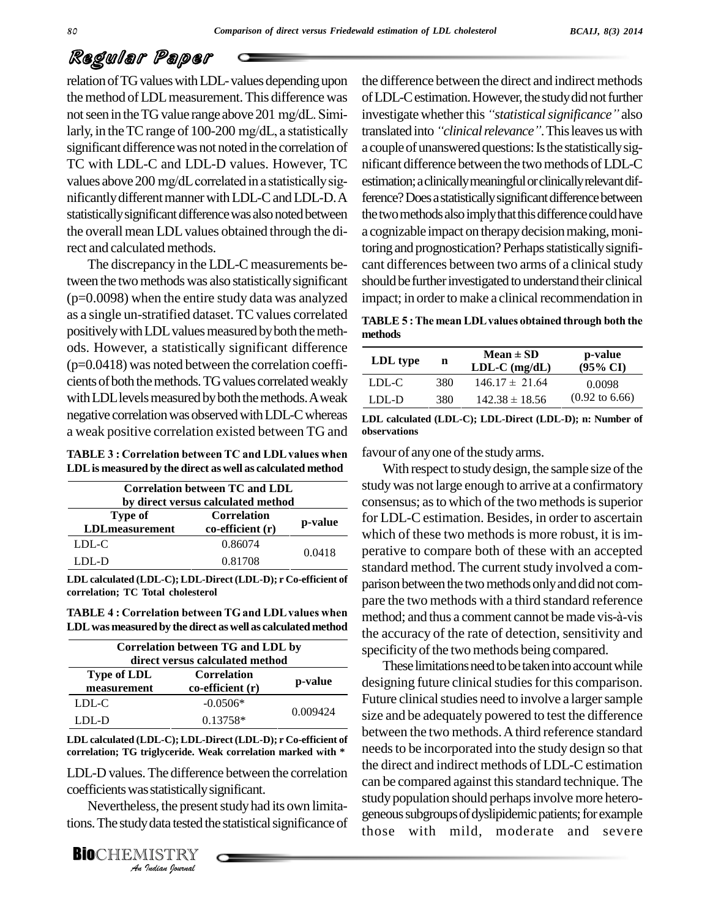## Regular Paper

relation of TG values with LDL-values depending upon the method of LDL measurement. This difference was not seen in the TG value range above 201 mg/dL. Similarly, in the TC range of 100-200 mg/dL, a statistically significant difference was not noted in the correlation of TC with LDL-C and LDL-D values. However, TC values above 200 mg/dL correlated in a statistically significantly different manner with LDL-C and LDL-D.A statistically significant difference was also noted between the overall mean LDL values obtained through the direct and calculated methods.

The discrepancy in the LDL-C measurements between the two methods was also statistically significant  $(p=0.0098)$  when the entire study data was analyzed as a single un-stratified dataset. TC values correlated positively with LDL values measured by both the methods. However, a statistically significant difference  $(p=0.0418)$  was noted between the correlation coefficients of both the methods. TG values correlated weakly with LDL levels measured by both the methods. A weak negative correlation was observed with LDL-C whereas a weak positive correlation existed between TG and

| <b>TABLE 3 : Correlation between TC and LDL values when</b> |  |
|-------------------------------------------------------------|--|
| LDL is measured by the direct as well as calculated method  |  |

| Correlation between TC and LDL<br>by direct versus calculated method |                                             |         |  |
|----------------------------------------------------------------------|---------------------------------------------|---------|--|
| Type of<br><b>LDLmeasurement</b>                                     | <b>Correlation</b><br>$co$ -efficient $(r)$ | p-value |  |
| LDL-C                                                                | 0.86074                                     | 0.0418  |  |
| LDL-D                                                                | 0.81708                                     |         |  |

LDL calculated (LDL-C); LDL-Direct (LDL-D); r Co-efficient of correlation; TC Total cholesterol

**TABLE 4: Correlation between TG and LDL values when** LDL was measured by the direct as well as calculated method

| Correlation between TG and LDL by<br>direct versus calculated method |                                         |          |  |
|----------------------------------------------------------------------|-----------------------------------------|----------|--|
| <b>Type of LDL</b><br>measurement                                    | <b>Correlation</b><br>$co-efficient(r)$ | p-value  |  |
| LDL-C                                                                | $-0.0506*$                              | 0.009424 |  |
| LDL-D                                                                | $0.13758*$                              |          |  |

LDL calculated (LDL-C); LDL-Direct (LDL-D); r Co-efficient of correlation; TG triglyceride. Weak correlation marked with \*

LDL-D values. The difference between the correlation coefficients was statistically significant.

Nevertheless, the present study had its own limitations. The study data tested the statistical significance of

**BIOCHEMISTRY** An Indian Journal

the difference between the direct and indirect methods of LDL-C estimation. However, the study did not further investigate whether this "statistical significance" also translated into "clinical relevance". This leaves us with a couple of unanswered questions: Is the statistically significant difference between the two methods of LDL-C estimation; a clinically meaningful or clinically relevant difference? Does a statistically significant difference between the two methods also imply that this difference could have a cognizable impact on therapy decision making, monitoring and prognostication? Perhaps statistically significant differences between two arms of a clinical study should be further investigated to understand their clinical impact; in order to make a clinical recommendation in

TABLE 5: The mean LDL values obtained through both the methods

| LDL type | n   | $Mean \pm SD$<br>$LDL-C$ (mg/dL) | p-value<br>$(95\% \text{ CI})$ |
|----------|-----|----------------------------------|--------------------------------|
| LDL-C    | 380 | $146.17 \pm 21.64$               | 0.0098                         |
| LDL-D    | 380 | $142.38 \pm 18.56$               | $(0.92 \text{ to } 6.66)$      |

LDL calculated (LDL-C); LDL-Direct (LDL-D); n: Number of observations

favour of any one of the study arms.

With respect to study design, the sample size of the study was not large enough to arrive at a confirmatory consensus; as to which of the two methods is superior for LDL-C estimation. Besides, in order to ascertain which of these two methods is more robust, it is imperative to compare both of these with an accepted standard method. The current study involved a comparison between the two methods only and did not compare the two methods with a third standard reference method; and thus a comment cannot be made vis-à-vis the accuracy of the rate of detection, sensitivity and specificity of the two methods being compared.

These limitations need to be taken into account while designing future clinical studies for this comparison. Future clinical studies need to involve a larger sample size and be adequately powered to test the difference between the two methods. A third reference standard needs to be incorporated into the study design so that the direct and indirect methods of LDL-C estimation can be compared against this standard technique. The study population should perhaps involve more heterogeneous subgroups of dyslipidemic patients; for example those with mild, moderate and severe